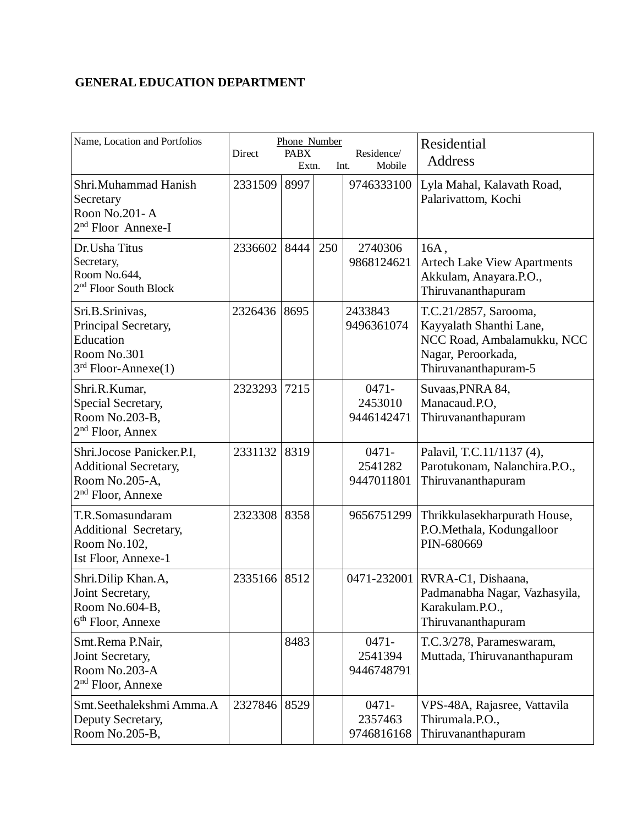## **GENERAL EDUCATION DEPARTMENT**

| Name, Location and Portfolios                                                                      | Direct  | Phone Number<br><b>PABX</b><br>Extn. |     | Residence/<br>Mobile<br>Int.      | Residential<br>Address                                                                                                       |
|----------------------------------------------------------------------------------------------------|---------|--------------------------------------|-----|-----------------------------------|------------------------------------------------------------------------------------------------------------------------------|
| Shri.Muhammad Hanish<br>Secretary<br>Roon No.201-A<br>2 <sup>nd</sup> Floor Annexe-I               | 2331509 | 8997                                 |     | 9746333100                        | Lyla Mahal, Kalavath Road,<br>Palarivattom, Kochi                                                                            |
| Dr. Usha Titus<br>Secretary,<br>Room No.644,<br>2 <sup>nd</sup> Floor South Block                  | 2336602 | 8444                                 | 250 | 2740306<br>9868124621             | 16A,<br><b>Artech Lake View Apartments</b><br>Akkulam, Anayara.P.O.,<br>Thiruvananthapuram                                   |
| Sri.B.Srinivas,<br>Principal Secretary,<br>Education<br>Room No.301<br>$3rd$ Floor-Annexe(1)       | 2326436 | 8695                                 |     | 2433843<br>9496361074             | T.C.21/2857, Sarooma,<br>Kayyalath Shanthi Lane,<br>NCC Road, Ambalamukku, NCC<br>Nagar, Peroorkada,<br>Thiruvananthapuram-5 |
| Shri.R.Kumar,<br>Special Secretary,<br>Room No.203-B,<br>$2nd$ Floor, Annex                        | 2323293 | 7215                                 |     | $0471 -$<br>2453010<br>9446142471 | Suvaas, PNRA 84,<br>Manacaud.P.O.<br>Thiruvananthapuram                                                                      |
| Shri.Jocose Panicker.P.I,<br><b>Additional Secretary,</b><br>Room No.205-A,<br>$2nd$ Floor, Annexe | 2331132 | 8319                                 |     | $0471 -$<br>2541282<br>9447011801 | Palavil, T.C.11/1137 (4),<br>Parotukonam, Nalanchira.P.O.,<br>Thiruvananthapuram                                             |
| T.R.Somasundaram<br>Additional Secretary,<br>Room No.102,<br>Ist Floor, Annexe-1                   | 2323308 | 8358                                 |     | 9656751299                        | Thrikkulasekharpurath House,<br>P.O.Methala, Kodungalloor<br>PIN-680669                                                      |
| Shri.Dilip Khan.A,<br>Joint Secretary,<br>Room No.604-B,<br>6 <sup>th</sup> Floor, Annexe          | 2335166 | 8512                                 |     | 0471-232001                       | RVRA-C1, Dishaana,<br>Padmanabha Nagar, Vazhasyila,<br>Karakulam.P.O.,<br>Thiruvananthapuram                                 |
| Smt.Rema P.Nair,<br>Joint Secretary,<br>Room No.203-A<br>2 <sup>nd</sup> Floor, Annexe             |         | 8483                                 |     | $0471 -$<br>2541394<br>9446748791 | T.C.3/278, Parameswaram,<br>Muttada, Thiruvananthapuram                                                                      |
| Smt.Seethalekshmi Amma.A<br>Deputy Secretary,<br>Room No.205-B,                                    | 2327846 | 8529                                 |     | $0471 -$<br>2357463<br>9746816168 | VPS-48A, Rajasree, Vattavila<br>Thirumala.P.O.,<br>Thiruvananthapuram                                                        |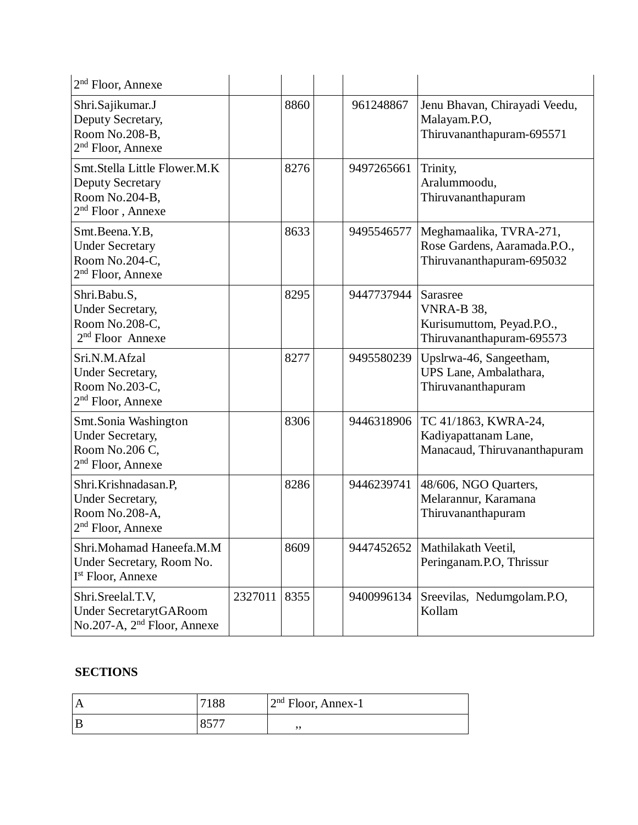| 2 <sup>nd</sup> Floor, Annexe                                                                    |         |      |            |                                                                                      |
|--------------------------------------------------------------------------------------------------|---------|------|------------|--------------------------------------------------------------------------------------|
| Shri.Sajikumar.J<br>Deputy Secretary,<br>Room No.208-B,<br>$2nd$ Floor, Annexe                   |         | 8860 | 961248867  | Jenu Bhavan, Chirayadi Veedu,<br>Malayam.P.O,<br>Thiruvananthapuram-695571           |
| Smt.Stella Little Flower.M.K<br><b>Deputy Secretary</b><br>Room No.204-B,<br>$2nd$ Floor, Annexe |         | 8276 | 9497265661 | Trinity,<br>Aralummoodu,<br>Thiruvananthapuram                                       |
| Smt.Beena.Y.B,<br><b>Under Secretary</b><br>Room No.204-C,<br>$2nd$ Floor, Annexe                |         | 8633 | 9495546577 | Meghamaalika, TVRA-271,<br>Rose Gardens, Aaramada.P.O.,<br>Thiruvananthapuram-695032 |
| Shri.Babu.S,<br>Under Secretary,<br>Room No.208-C,<br>$2nd$ Floor Annexe                         |         | 8295 | 9447737944 | Sarasree<br>VNRA-B 38,<br>Kurisumuttom, Peyad.P.O.,<br>Thiruvananthapuram-695573     |
| Sri.N.M.Afzal<br><b>Under Secretary,</b><br>Room No.203-C,<br>$2nd$ Floor, Annexe                |         | 8277 | 9495580239 | Upslrwa-46, Sangeetham,<br>UPS Lane, Ambalathara,<br>Thiruvananthapuram              |
| Smt.Sonia Washington<br><b>Under Secretary,</b><br>Room No.206 C,<br>$2nd$ Floor, Annexe         |         | 8306 | 9446318906 | TC 41/1863, KWRA-24,<br>Kadiyapattanam Lane,<br>Manacaud, Thiruvananthapuram         |
| Shri.Krishnadasan.P,<br>Under Secretary,<br>Room No.208-A,<br>$2nd$ Floor, Annexe                |         | 8286 | 9446239741 | 48/606, NGO Quarters,<br>Melarannur, Karamana<br>Thiruvananthapuram                  |
| Shri.Mohamad Haneefa.M.M<br>Under Secretary, Room No.<br>I <sup>st</sup> Floor, Annexe           |         | 8609 | 9447452652 | Mathilakath Veetil,<br>Peringanam.P.O, Thrissur                                      |
| Shri.Sreelal.T.V,<br>Under SecretarytGARoom<br>No.207-A, 2 <sup>nd</sup> Floor, Annexe           | 2327011 | 8355 | 9400996134 | Sreevilas, Nedumgolam.P.O,<br>Kollam                                                 |

## **SECTIONS**

| $^{\shortparallel}$ A | 7100         | $2nd$ Floor, Annex-1 |
|-----------------------|--------------|----------------------|
| B                     | 0 <i>577</i> | ,,                   |